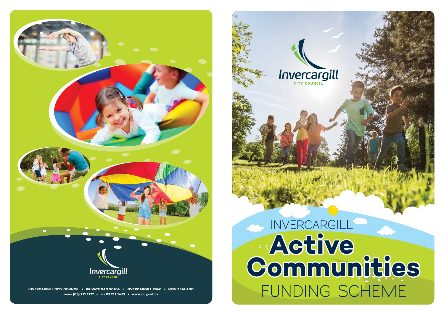

**INVERCARGILL CITY COUNCIL** • **PRIVATE BAG 90104** • **INVERCARGILL 9840** • **NEW ZEALAND**